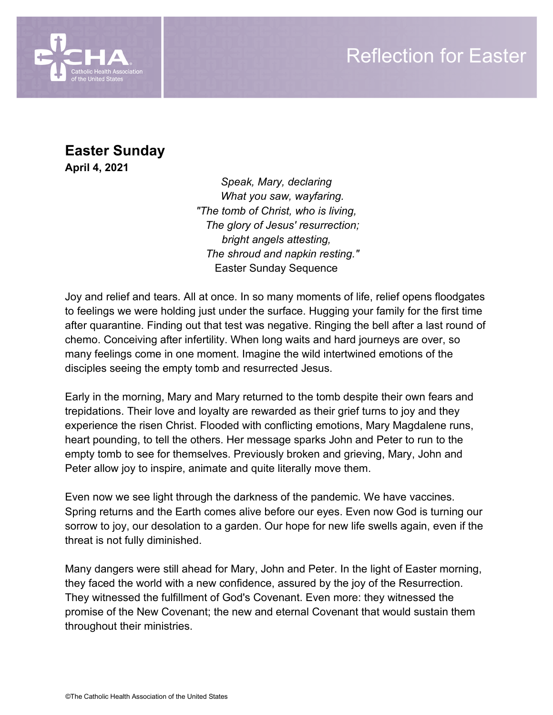## Reflection for Easter



**Easter Sunday April 4, 2021** 

> *Speak, Mary, declaring What you saw, wayfaring. "The tomb of Christ, who is living, The glory of Jesus' resurrection; bright angels attesting, The shroud and napkin resting."* Easter Sunday Sequence

Joy and relief and tears. All at once. In so many moments of life, relief opens floodgates to feelings we were holding just under the surface. Hugging your family for the first time after quarantine. Finding out that test was negative. Ringing the bell after a last round of chemo. Conceiving after infertility. When long waits and hard journeys are over, so many feelings come in one moment. Imagine the wild intertwined emotions of the disciples seeing the empty tomb and resurrected Jesus.

Early in the morning, Mary and Mary returned to the tomb despite their own fears and trepidations. Their love and loyalty are rewarded as their grief turns to joy and they experience the risen Christ. Flooded with conflicting emotions, Mary Magdalene runs, heart pounding, to tell the others. Her message sparks John and Peter to run to the empty tomb to see for themselves. Previously broken and grieving, Mary, John and Peter allow joy to inspire, animate and quite literally move them.

Even now we see light through the darkness of the pandemic. We have vaccines. Spring returns and the Earth comes alive before our eyes. Even now God is turning our sorrow to joy, our desolation to a garden. Our hope for new life swells again, even if the threat is not fully diminished.

Many dangers were still ahead for Mary, John and Peter. In the light of Easter morning, they faced the world with a new confidence, assured by the joy of the Resurrection. They witnessed the fulfillment of God's Covenant. Even more: they witnessed the promise of the New Covenant; the new and eternal Covenant that would sustain them throughout their ministries.